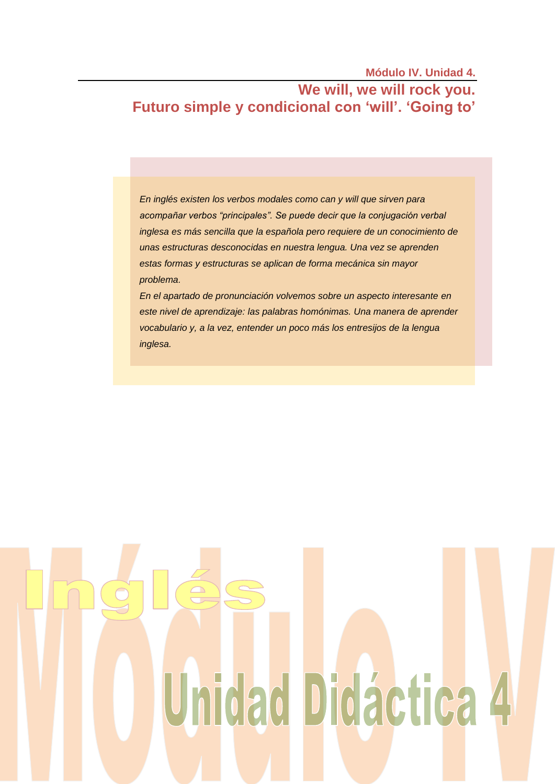**Módulo IV. Unidad 4.**

# **We will, we will rock you. Futuro simple y condicional con 'will'. 'Going to'**

*En inglés existen los verbos modales como can y will que sirven para acompañar verbos "principales". Se puede decir que la conjugación verbal inglesa es más sencilla que la española pero requiere de un conocimiento de unas estructuras desconocidas en nuestra lengua. Una vez se aprenden estas formas y estructuras se aplican de forma mecánica sin mayor problema.*

*En el apartado de pronunciación volvemos sobre un aspecto interesante en este nivel de aprendizaje: las palabras homónimas. Una manera de aprender vocabulario y, a la vez, entender un poco más los entresijos de la lengua inglesa.*

# Unidad Didáctica 4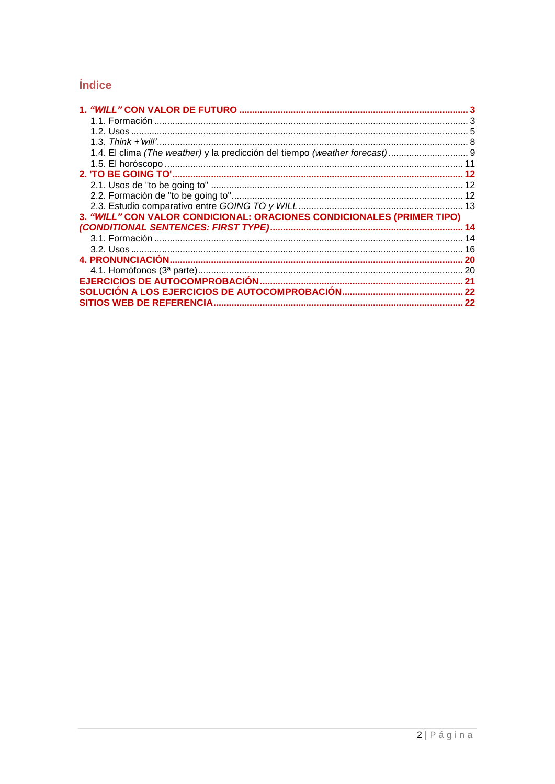# Índice

| 3. "WILL" CON VALOR CONDICIONAL: ORACIONES CONDICIONALES (PRIMER TIPO) |           |
|------------------------------------------------------------------------|-----------|
|                                                                        |           |
|                                                                        |           |
|                                                                        |           |
|                                                                        | <b>20</b> |
|                                                                        |           |
|                                                                        |           |
|                                                                        |           |
|                                                                        | -22       |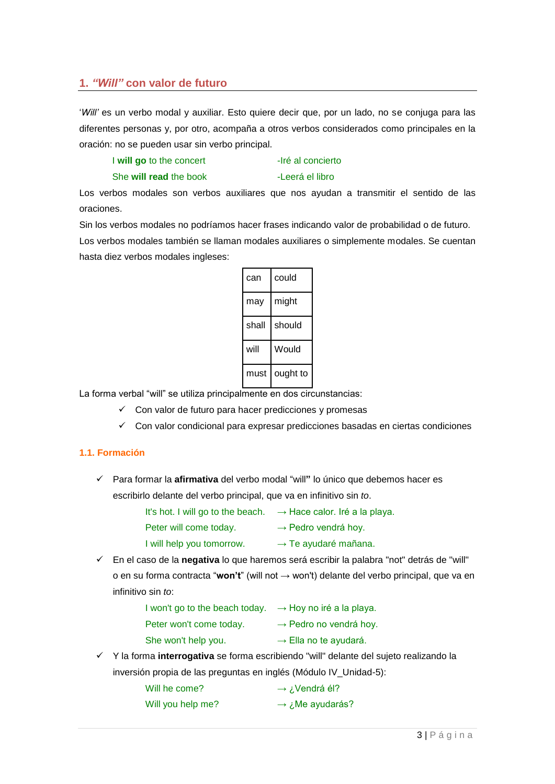# <span id="page-2-0"></span>**1.** *"Will"* **con valor de futuro**

'*Will'* es un verbo modal y auxiliar. Esto quiere decir que, por un lado, no se conjuga para las diferentes personas y, por otro, acompaña a otros verbos considerados como principales en la oración: no se pueden usar sin verbo principal.

| I will go to the concert | -Iré al concierto |
|--------------------------|-------------------|
|                          |                   |

She **will read** the book -Leerá el libro

Los verbos modales son verbos auxiliares que nos ayudan a transmitir el sentido de las oraciones.

Sin los verbos modales no podríamos hacer frases indicando valor de probabilidad o de futuro. Los verbos modales también se llaman modales auxiliares o simplemente modales. Se cuentan hasta diez verbos modales ingleses:

| can   | could    |
|-------|----------|
| may   | might    |
| shall | should   |
| will  | Would    |
| must  | ought to |

La forma verbal "will" se utiliza principalmente en dos circunstancias:

- $\checkmark$  Con valor de futuro para hacer predicciones y promesas
- $\checkmark$  Con valor condicional para expresar predicciones basadas en ciertas condiciones

# <span id="page-2-1"></span>**1.1. Formación**

 Para formar la **afirmativa** del verbo modal "will**"** lo único que debemos hacer es escribirlo delante del verbo principal, que va en infinitivo sin *to*.

| It's hot. I will go to the beach. | $\rightarrow$ Hace calor. Iré a la playa. |
|-----------------------------------|-------------------------------------------|
| Peter will come today.            | $\rightarrow$ Pedro vendrá hoy.           |
| I will help you tomorrow.         | $\rightarrow$ Te ayudaré mañana.          |

 En el caso de la **negativa** lo que haremos será escribir la palabra "not" detrás de "will" o en su forma contracta "**won't**" (will not → won't) delante del verbo principal, que va en infinitivo sin *to*:

| I won't go to the beach today. | $\rightarrow$ Hoy no iré a la playa. |
|--------------------------------|--------------------------------------|
| Peter won't come today.        | $\rightarrow$ Pedro no vendrá hoy.   |
| She won't help you.            | $\rightarrow$ Ella no te ayudará.    |

 Y la forma **interrogativa** se forma escribiendo "will" delante del sujeto realizando la inversión propia de las preguntas en inglés (Módulo IV\_Unidad-5):

| Will he come?     | $\rightarrow$ <i>i</i> . Vendrá él? |
|-------------------|-------------------------------------|
| Will you help me? | Me ayudarás? ب → Ne ayudarás?       |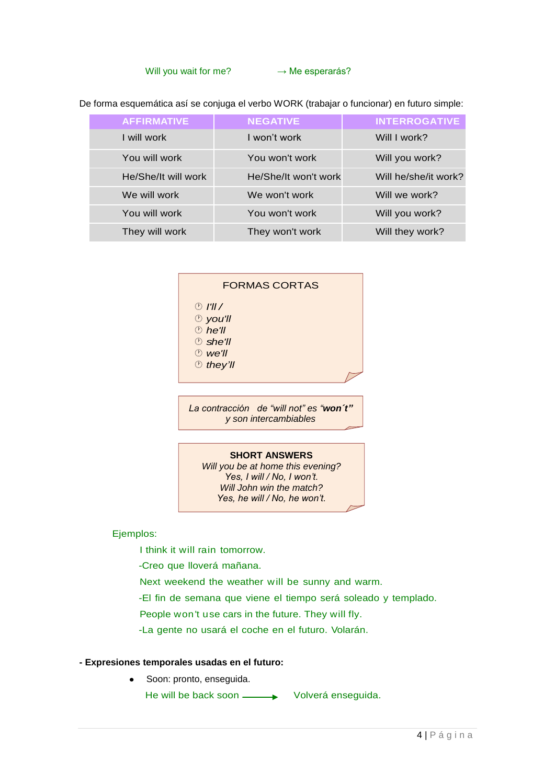### Will you wait for me?  $\rightarrow$  Me esperarás?

De forma esquemática así se conjuga el verbo WORK (trabajar o funcionar) en futuro simple:

| <b>AFFIRMATIVE</b>  | <b>NEGATIVE</b>      | <b>INTERROGATIVE</b> |
|---------------------|----------------------|----------------------|
| I will work         | I won't work         | Will I work?         |
| You will work       | You won't work       | Will you work?       |
| He/She/It will work | He/She/It won't work | Will he/she/it work? |
| We will work        | We won't work        | Will we work?        |
| You will work       | You won't work       | Will you work?       |
| They will work      | They won't work      | Will they work?      |

### FORMAS CORTAS

- *I'll /*
- *you'll*
- *he'll*
- *she'll*
- *we'll*
- *they'll*

*La contracción de "will not" es "won´t" y son intercambiables*

### **SHORT ANSWERS**

*Will you be at home this evening? Yes, I will / No, I won't. Will John win the match? Yes, he will / No, he won't.*

Ejemplos:

I think it will rain tomorrow.

-Creo que lloverá mañana.

Next weekend the weather will be sunny and warm.

-El fin de semana que viene el tiempo será soleado y templado.

People won't use cars in the future. They will fly.

-La gente no usará el coche en el futuro. Volarán.

### **- Expresiones temporales usadas en el futuro:**

 $\bullet$ Soon: pronto, enseguida. He will be back soon  $\longrightarrow$  Volverá enseguida.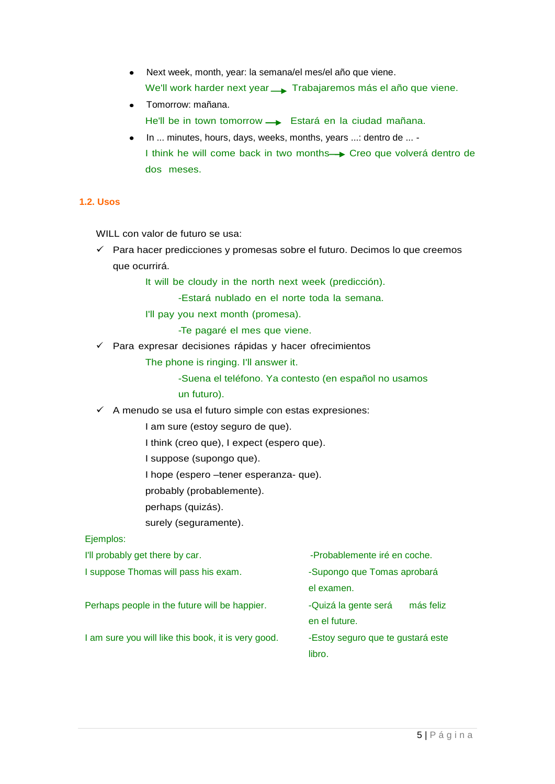- Next week, month, year: la semana/el mes/el año que viene.  $\bullet$ We'll work harder next year **Trabajaremos más el año que viene.**
- Tomorrow: mañana. He'll be in town tomorrow -> Estará en la ciudad mañana.
- In ... minutes, hours, days, weeks, months, years ...: dentro de ... I think he will come back in two months - Creo que volverá dentro de dos meses.

# <span id="page-4-0"></span>**1.2. Usos**

WILL con valor de futuro se usa:

 $\checkmark$  Para hacer predicciones y promesas sobre el futuro. Decimos lo que creemos que ocurrirá.

It will be cloudy in the north next week (predicción).

-Estará nublado en el norte toda la semana.

I'll pay you next month (promesa).

-Te pagaré el mes que viene.

 $\checkmark$  Para expresar decisiones rápidas y hacer ofrecimientos

The phone is ringing. I'll answer it.

-Suena el teléfono. Ya contesto (en español no usamos

- un futuro).
- $\checkmark$  A menudo se usa el futuro simple con estas expresiones:

I am sure (estoy seguro de que).

I think (creo que), I expect (espero que).

I suppose (supongo que).

I hope (espero –tener esperanza- que).

probably (probablemente).

perhaps (quizás).

surely (seguramente).

Ejemplos:

| I'll probably get there by car.                     | -Probablemente iré en coche.                       |
|-----------------------------------------------------|----------------------------------------------------|
| I suppose Thomas will pass his exam.                | -Supongo que Tomas aprobará<br>el examen.          |
| Perhaps people in the future will be happier.       | más feliz<br>-Quizá la gente será<br>en el future. |
| I am sure you will like this book, it is very good. | -Estoy seguro que te gustará este<br>libro.        |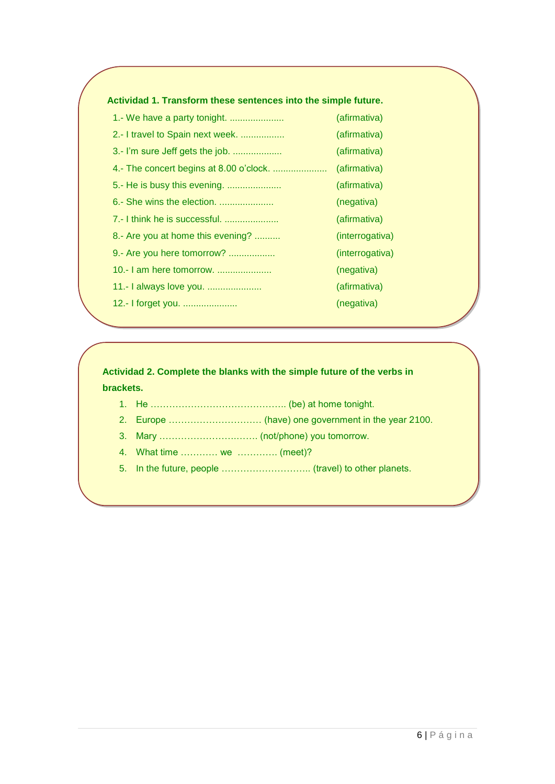# **Actividad 1. Transform these sentences into the simple future.**

| 1.- We have a party tonight.      | (afirmativa)    |
|-----------------------------------|-----------------|
| 2.- I travel to Spain next week.  | (afirmativa)    |
| 3.- I'm sure Jeff gets the job.   | (afirmativa)    |
|                                   | (afirmativa)    |
|                                   | (afirmativa)    |
| 6.- She wins the election.        | (negativa)      |
| 7.- I think he is successful.     | (afirmativa)    |
| 8.- Are you at home this evening? | (interrogativa) |
| 9.- Are you here tomorrow?        | (interrogativa) |
| 10.- I am here tomorrow.          | (negativa)      |
| 11.- I always love you.           | (afirmativa)    |
| 12.- I forget you.                | (negativa)      |

**Actividad 2. Complete the blanks with the simple future of the verbs in brackets.**

- 1. He …………………………………….. (be) at home tonight.
- 2. Europe ………………………… (have) one government in the year 2100.
- 3. Mary …………………….……. (not/phone) you tomorrow.
- 4. What time ………… we …………. (meet)?
- 5. In the future, people ……………………….. (travel) to other planets.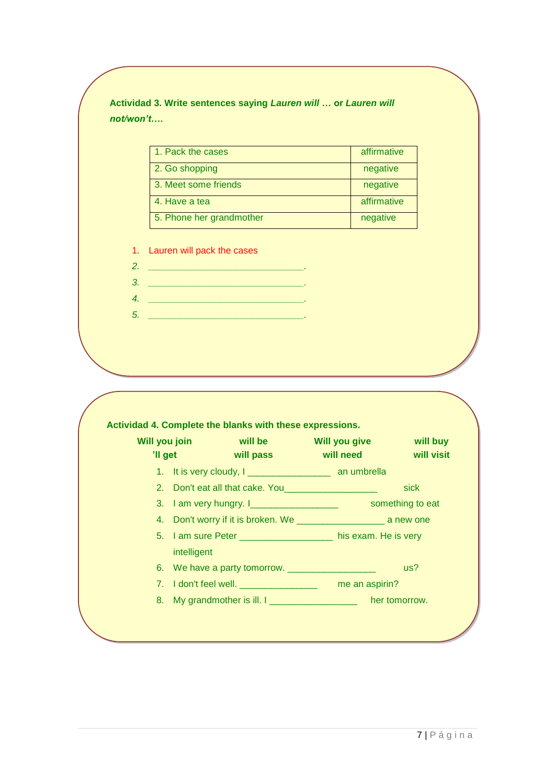# **Actividad 3. Write sentences saying** *Lauren will* **… or** *Lauren will not/won't***….**

| 1. Pack the cases        | affirmative |
|--------------------------|-------------|
| 2. Go shopping           | negative    |
| 3. Meet some friends     | negative    |
| 4. Have a tea            | affirmative |
| 5. Phone her grandmother | negative    |

1. Lauren will pack the cases

*2. \_\_\_\_\_\_\_\_\_\_\_\_\_\_\_\_\_\_\_\_\_\_\_\_\_\_\_\_\_\_. 3. \_\_\_\_\_\_\_\_\_\_\_\_\_\_\_\_\_\_\_\_\_\_\_\_\_\_\_\_\_\_.*

| 'Il get | Will you join<br><b>Solution System System System System</b><br>will pass     | <b>Will you give</b><br><b>Example 10 Will need</b> | will buy<br>will visit |
|---------|-------------------------------------------------------------------------------|-----------------------------------------------------|------------------------|
|         |                                                                               |                                                     |                        |
|         | 2. Don't eat all that cake. You_____________________                          |                                                     | sick                   |
|         |                                                                               |                                                     |                        |
|         |                                                                               |                                                     |                        |
|         | 5. I am sure Peter ______________________ his exam. He is very<br>intelligent |                                                     |                        |
|         |                                                                               |                                                     | us?                    |
|         |                                                                               | me an aspirin?                                      |                        |
|         | 8. My grandmother is ill. I _____________________ her tomorrow.               |                                                     |                        |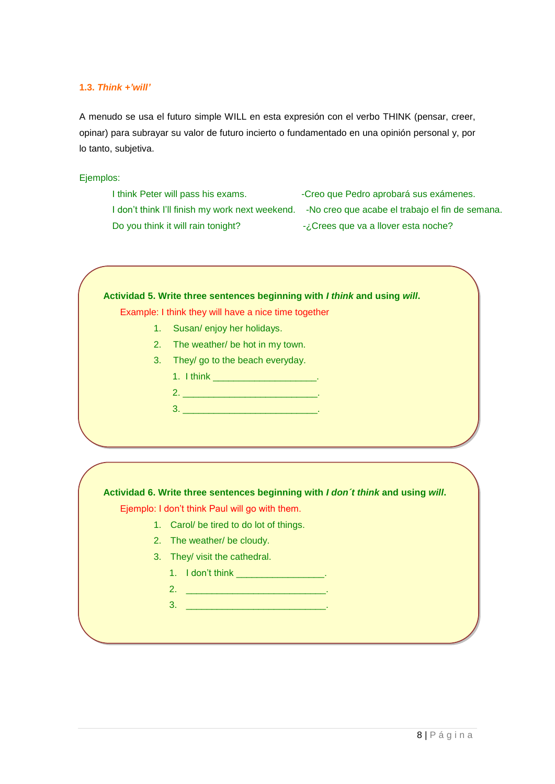### <span id="page-7-0"></span>**1.3.** *Think +'will'*

A menudo se usa el futuro simple WILL en esta expresión con el verbo THINK (pensar, creer, opinar) para subrayar su valor de futuro incierto o fundamentado en una opinión personal y, por lo tanto, subjetiva.

### Ejemplos:

I think Peter will pass his exams. - Creo que Pedro aprobará sus exámenes. I don't think I'll finish my work next weekend. -No creo que acabe el trabajo el fin de semana. Do you think it will rain tonight?  $\frac{1}{2}$  -*i*. Crees que va a llover esta noche?

### **Actividad 5. Write three sentences beginning with** *I think* **and using** *will***.**

Example: I think they will have a nice time together

- 1. Susan/ enjoy her holidays.
- 2. The weather/ be hot in my town.
- 3. They/ go to the beach everyday.
	- 1. I think \_\_\_\_\_\_\_\_\_\_\_\_\_\_\_\_\_\_\_\_\_\_\_\_.
	- 2. \_\_\_\_\_\_\_\_\_\_\_\_\_\_\_\_\_\_\_\_\_\_\_\_\_\_. 3. \_\_\_\_\_\_\_\_\_\_\_\_\_\_\_\_\_\_\_\_\_\_\_\_\_\_.

# **Actividad 6. Write three sentences beginning with** *I don´t think* **and using** *will***.**

Ejemplo: I don't think Paul will go with them.

- 1. Carol/ be tired to do lot of things.
- 2. The weather/ be cloudy.
- 3. They/ visit the cathedral.
	- 1. I don't think \_\_\_\_\_\_\_\_\_\_\_\_\_\_\_\_\_\_.
	- 2. \_\_\_\_\_\_\_\_\_\_\_\_\_\_\_\_\_\_\_\_\_\_\_\_\_\_\_.
	- 3. <u>\_\_\_\_\_\_\_\_\_\_\_\_\_\_\_\_\_\_\_\_\_\_\_\_\_\_\_\_\_\_\_\_</u>.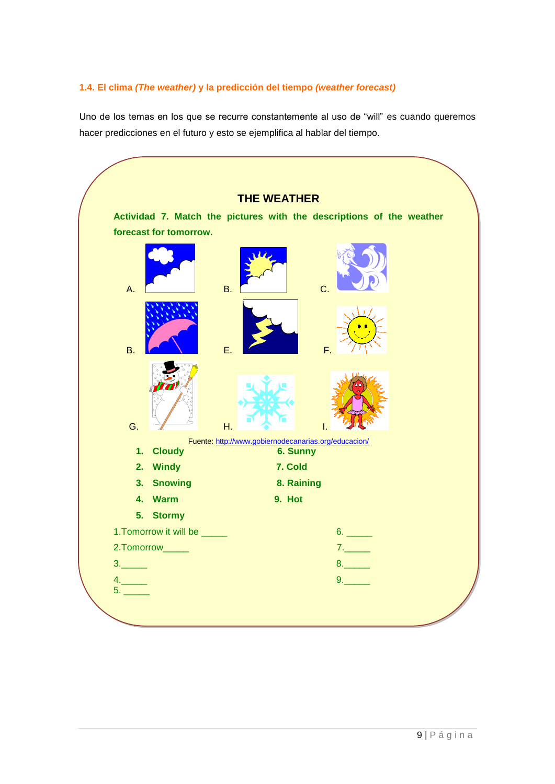# <span id="page-8-0"></span>**1.4. El clima** *(The weather)* **y la predicción del tiempo** *(weather forecast)*

Uno de los temas en los que se recurre constantemente al uso de "will" es cuando queremos hacer predicciones en el futuro y esto se ejemplifica al hablar del tiempo.

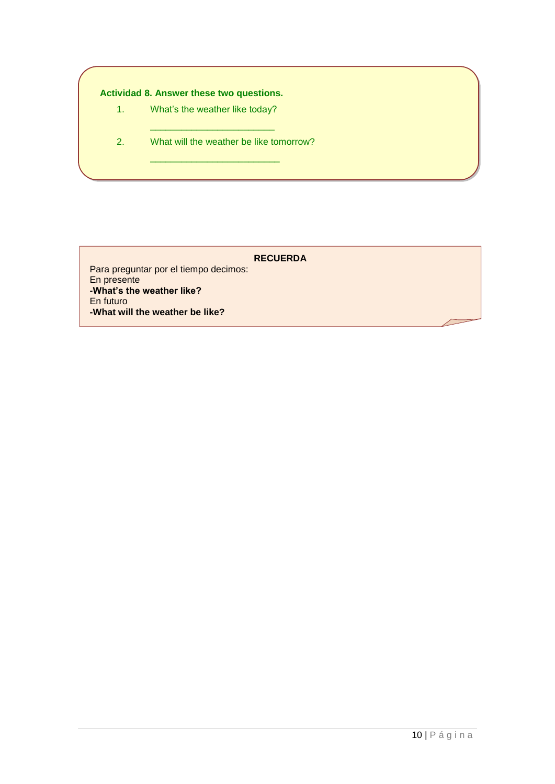# **Actividad 8. Answer these two questions.**

- 1. What's the weather like today?
- 2. What will the weather be like tomorrow? \_\_\_\_\_\_\_\_\_\_\_\_\_\_\_\_\_\_\_\_\_\_\_\_\_

\_\_\_\_\_\_\_\_\_\_\_\_\_\_\_\_\_\_\_\_\_\_\_\_

**RECUERDA**

Para preguntar por el tiempo decimos: En presente **-What's the weather like?** En futuro **-What will the weather be like?**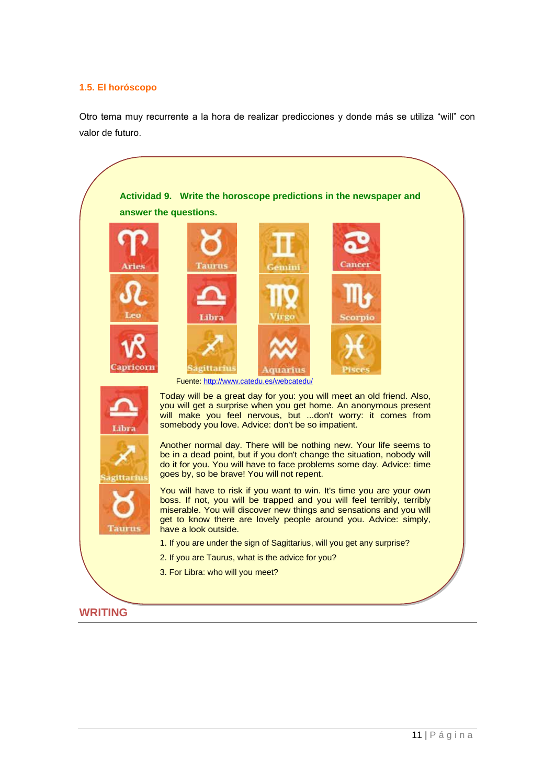# <span id="page-10-0"></span>**1.5. El horóscopo**

Otro tema muy recurrente a la hora de realizar predicciones y donde más se utiliza "will" con valor de futuro.

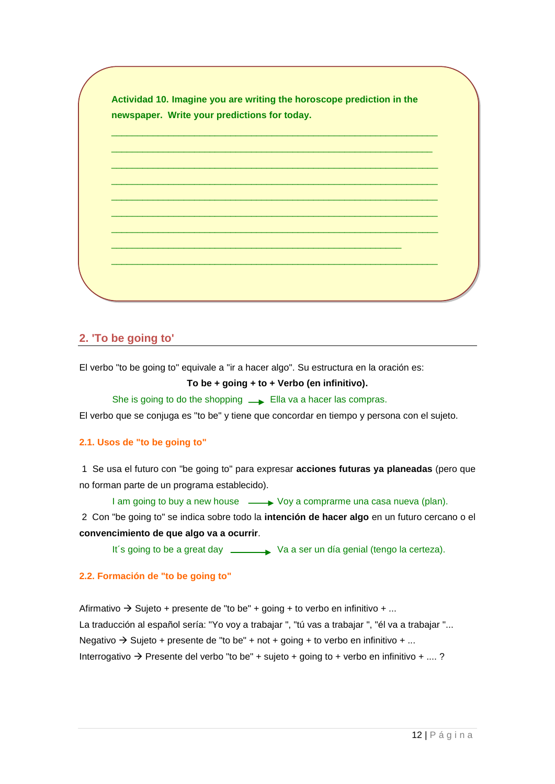| newspaper. Write your predictions for today. |  |  |
|----------------------------------------------|--|--|
|                                              |  |  |
|                                              |  |  |
|                                              |  |  |
|                                              |  |  |
|                                              |  |  |
|                                              |  |  |
|                                              |  |  |
|                                              |  |  |
|                                              |  |  |
|                                              |  |  |

# <span id="page-11-0"></span>**2. 'To be going to'**

El verbo "to be going to" equivale a "ir a hacer algo". Su estructura en la oración es:

### **To be + going + to + Verbo (en infinitivo).**

She is going to do the shopping  $\longrightarrow$  Ella va a hacer las compras.

El verbo que se conjuga es ["to be"](http://www.vitutor.com/gramatica_inglesa/verbs/verbo_to_be.html) y tiene que concordar en tiempo y persona con el sujeto.

### <span id="page-11-1"></span>**2.1. Usos de "to be going to"**

1 Se usa el futuro con "be going to" para expresar **acciones futuras ya planeadas** (pero que no forman parte de un programa establecido).

I am going to buy a new house  $\longrightarrow$  Voy a comprarme una casa nueva (plan).

2 Con "be going to" se indica sobre todo la **intención de hacer algo** en un futuro cercano o el **convencimiento de que algo va a ocurrir**.

It's going to be a great day 
<br>
Va a ser un día genial (tengo la certeza).

# <span id="page-11-2"></span>**2.2. Formación de "to be going to"**

Afirmativo  $\rightarrow$  Sujeto + presente de "to be" + going + to verbo en infinitivo + ... La traducción al español sería: "Yo voy a trabajar ", "tú vas a trabajar ", "él va a trabajar "... Negativo  $\rightarrow$  Sujeto + presente de "to be" + not + going + to verbo en infinitivo + ... Interrogativo  $\rightarrow$  Presente del verbo "to be" + sujeto + going to + verbo en infinitivo + ....?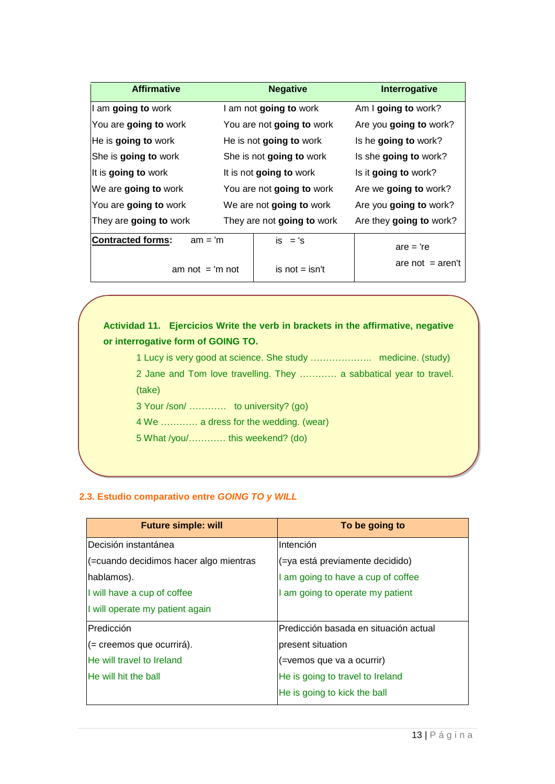| <b>Affirmative</b>                    | <b>Negative</b>            | <b>Interrogative</b>    |
|---------------------------------------|----------------------------|-------------------------|
| I am going to work                    | I am not going to work     | Am I going to work?     |
| You are going to work                 | You are not going to work  | Are you going to work?  |
| He is going to work                   | He is not going to work    | Is he going to work?    |
| She is going to work                  | She is not going to work   | Is she going to work?   |
| It is going to work                   | It is not going to work    | Is it going to work?    |
| We are going to work                  | You are not going to work  | Are we going to work?   |
| You are going to work                 | We are not going to work   | Are you going to work?  |
| They are going to work                | They are not going to work | Are they going to work? |
| <b>Contracted forms:</b><br>$am = 'm$ | $is = 's$                  | $are = 're$             |

am not  $=$  'm not

is not  $=$  isn't

are not  $=$  aren't

**Actividad 11. Ejercicios Write the verb in brackets in the affirmative, negative or interrogative form of GOING TO.**

1 Lucy is very good at science. She study ……………….. medicine. (study) 2 Jane and Tom love travelling. They ………… a sabbatical year to travel.

(take)

3 Your /son/ ………… to university? (go)

4 We ………… a dress for the wedding. (wear)

5 What /you/………… this weekend? (do)

# <span id="page-12-0"></span>**2.3. Estudio comparativo entre** *GOING TO y WILL*

| <b>Future simple: will</b>             | To be going to                        |
|----------------------------------------|---------------------------------------|
| Decisión instantánea                   | Intención                             |
| (=cuando decidimos hacer algo mientras | (=ya está previamente decidido)       |
| hablamos).                             | I am going to have a cup of coffee    |
| I will have a cup of coffee            | I am going to operate my patient      |
| I will operate my patient again        |                                       |
| Predicción                             | Predicción basada en situación actual |
| $($ = creemos que ocurrirá).           | present situation                     |
| He will travel to Ireland              | (=vemos que va a ocurrir)             |
| He will hit the ball                   | He is going to travel to Ireland      |
|                                        | He is going to kick the ball          |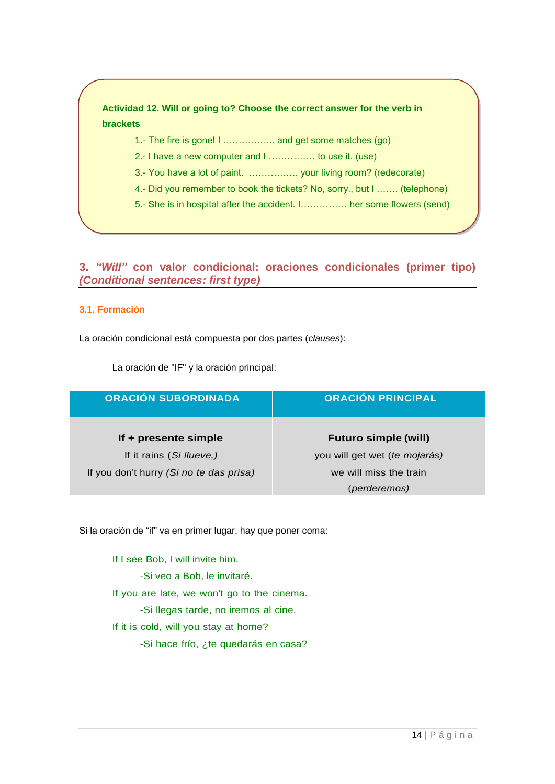# **Actividad 12. Will or going to? Choose the correct answer for the verb in brackets**

- 1.- The fire is gone! I …………….. and get some matches (go)
- 2.- I have a new computer and I …………… to use it. (use)
- 3.- You have a lot of paint. ……………. your living room? (redecorate)
- 4.- Did you remember to book the tickets? No, sorry., but I ……. (telephone)
- 5.- She is in hospital after the accident. I…………… her some flowers (send)

# <span id="page-13-0"></span>**3.** *"Will"* **con valor condicional: oraciones condicionales (primer tipo)** *(Conditional sentences: first type)*

# <span id="page-13-1"></span>**3.1. Formación**

La oración condicional está compuesta por dos partes (*clauses*):

| <b>ORACIÓN SUBORDINADA</b>              | <b>ORACIÓN PRINCIPAL</b>      |  |
|-----------------------------------------|-------------------------------|--|
| If + presente simple                    | <b>Futuro simple (will)</b>   |  |
| If it rains (Si llueve,)                | you will get wet (te mojarás) |  |
| If you don't hurry (Si no te das prisa) | we will miss the train        |  |
|                                         | (perderemos)                  |  |

La oración de "IF" y la oración principal:

Si la oración de "if" va en primer lugar, hay que poner coma:

If I see Bob, I will invite him. -Si veo a Bob, le invitaré. If you are late, we won't go to the cinema. -Si llegas tarde, no iremos al cine. If it is cold, will you stay at home? -Si hace frío, ¿te quedarás en casa?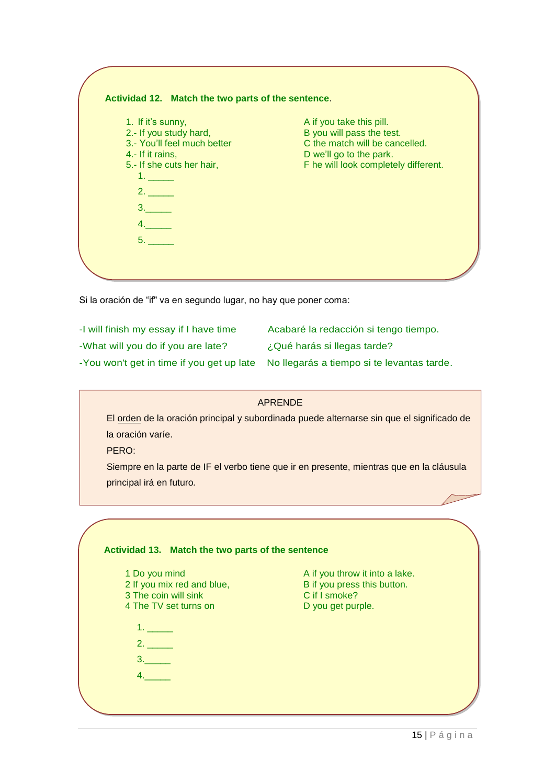| 1. If it's sunny,                                     | A if you take this pill.                                    |
|-------------------------------------------------------|-------------------------------------------------------------|
| 2.- If you study hard,<br>3.- You'll feel much better | B you will pass the test.<br>C the match will be cancelled. |
|                                                       |                                                             |
| 4.- If it rains,                                      | D we'll go to the park.                                     |
| 5.- If she cuts her hair,<br>1.5.5.5                  | F he will look completely different.                        |
| 2.                                                    |                                                             |
| 3.                                                    |                                                             |
| 4.                                                    |                                                             |
| 5.                                                    |                                                             |

Si la oración de "if" va en segundo lugar, no hay que poner coma:

| -I will finish my essay if I have time | Acabaré la redacción si tengo tiempo.                                                |
|----------------------------------------|--------------------------------------------------------------------------------------|
| -What will you do if you are late?     | ¿Qué harás si llegas tarde?                                                          |
|                                        | -You won't get in time if you get up late No llegarás a tiempo si te levantas tarde. |

|                                                                                           | <b>APRENDE</b>                                                |  |  |  |
|-------------------------------------------------------------------------------------------|---------------------------------------------------------------|--|--|--|
| El orden de la oración principal y subordinada puede alternarse sin que el significado de |                                                               |  |  |  |
| la oración varíe.                                                                         |                                                               |  |  |  |
| PERO:                                                                                     |                                                               |  |  |  |
| Siempre en la parte de IF el verbo tiene que ir en presente, mientras que en la cláusula  |                                                               |  |  |  |
| principal irá en futuro.                                                                  |                                                               |  |  |  |
|                                                                                           |                                                               |  |  |  |
|                                                                                           |                                                               |  |  |  |
|                                                                                           |                                                               |  |  |  |
| Actividad 13. Match the two parts of the sentence                                         |                                                               |  |  |  |
|                                                                                           |                                                               |  |  |  |
| 1 Do you mind<br>2 If you mix red and blue,                                               | A if you throw it into a lake.<br>B if you press this button. |  |  |  |
| 3 The coin will sink                                                                      | C if I smoke?                                                 |  |  |  |
| 4 The TV set turns on                                                                     | D you get purple.                                             |  |  |  |
|                                                                                           |                                                               |  |  |  |
| 2.                                                                                        |                                                               |  |  |  |
| 3.                                                                                        |                                                               |  |  |  |
| 4.                                                                                        |                                                               |  |  |  |
|                                                                                           |                                                               |  |  |  |
|                                                                                           |                                                               |  |  |  |
|                                                                                           |                                                               |  |  |  |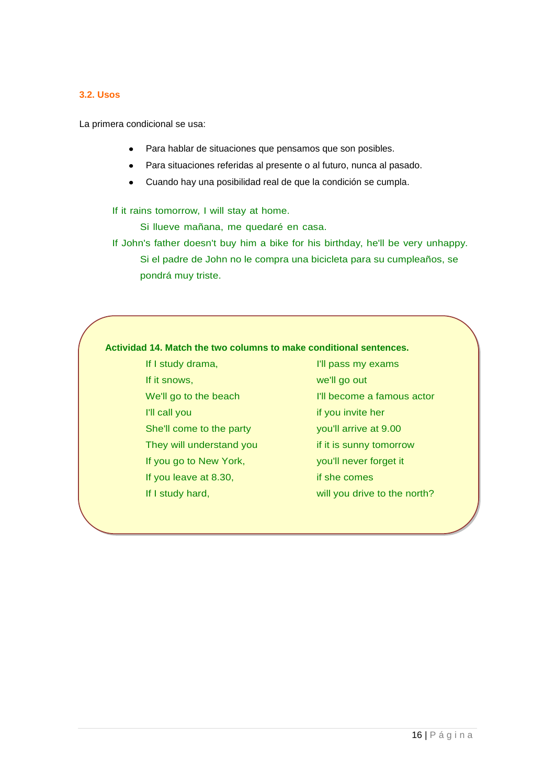# <span id="page-15-0"></span>**3.2. Usos**

La primera condicional se usa:

- Para hablar de situaciones que pensamos que son posibles.
- Para situaciones referidas al presente o al futuro, nunca al pasado.  $\bullet$
- Cuando hay una posibilidad real de que la condición se cumpla.  $\bullet$

If it rains tomorrow, I will stay at home.

Si llueve mañana, me quedaré en casa.

If John's father doesn't buy him a bike for his birthday, he'll be very unhappy. Si el padre de John no le compra una bicicleta para su cumpleaños, se pondrá muy triste.

# **Actividad 14. Match the two columns to make conditional sentences.**

- If I study drama, If it snows, We'll go to the beach I'll call you She'll come to the party They will understand you If you go to New York, If you leave at 8.30, If I study hard,
- I'll pass my exams
- we'll go out
- I'll become a famous actor
- if you invite her
- you'll arrive at 9.00
- if it is sunny tomorrow
- you'll never forget it
- if she comes
- will you drive to the north?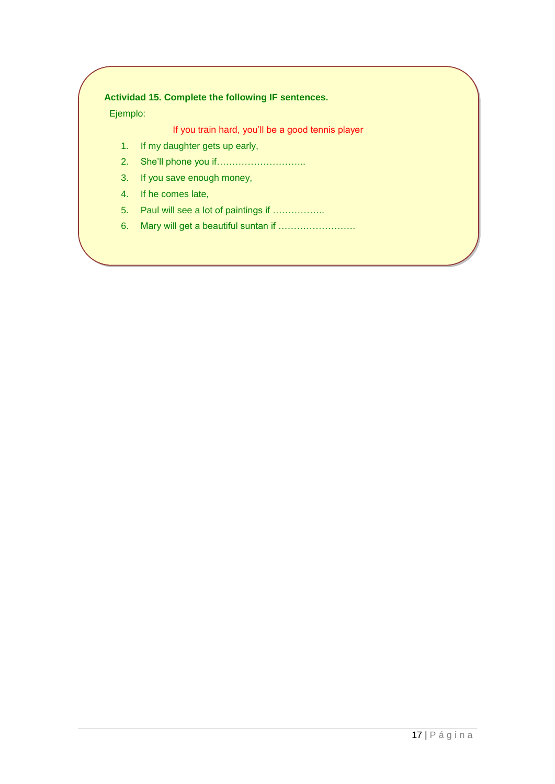# **Actividad 15. Complete the following IF sentences.**

Ejemplo:

If you train hard, you'll be a good tennis player

- 1. If my daughter gets up early,
- 2. She'll phone you if………………………..
- 3. If you save enough money,
- 4. If he comes late,
- 5. Paul will see a lot of paintings if ……………..
- 6. Mary will get a beautiful suntan if …………………….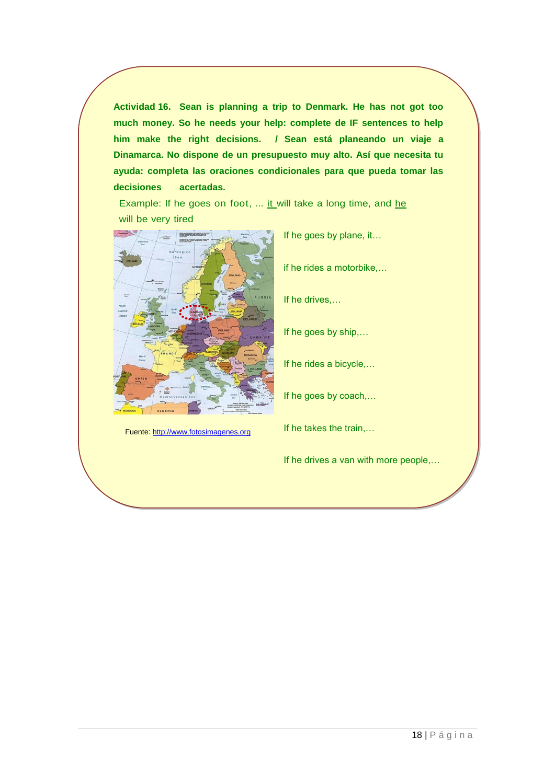**Actividad 16. Sean is planning a trip to Denmark. He has not got too much money. So he needs your help: complete de IF sentences to help him make the right decisions. / Sean está planeando un viaje a Dinamarca. No dispone de un presupuesto muy alto. Así que necesita tu ayuda: completa las oraciones condicionales para que pueda tomar las decisiones acertadas.**

Example: If he goes on foot, ... it will take a long time, and he will be very tired



Fuente[: http://www.fotosimagenes.org](http://www.fotosimagenes.org/mapa-de-europa-en-ingles)

If he goes by plane, it…

if he rides a motorbike,…

If he drives,…

If he goes by ship,…

If he rides a bicycle,…

If he goes by coach,…

If he takes the train,…

If he drives a van with more people,…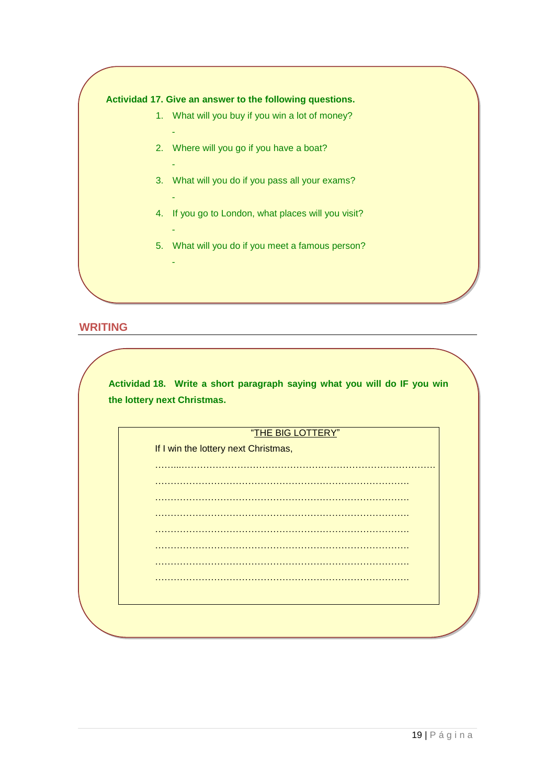# **Actividad 17. Give an answer to the following questions.**

-

-

-

-

-

- 1. What will you buy if you win a lot of money?
- 2. Where will you go if you have a boat?
- 3. What will you do if you pass all your exams?
- 4. If you go to London, what places will you visit?
- 5. What will you do if you meet a famous person?

# **WRITING**

| the lottery next Christmas.          |
|--------------------------------------|
| "THE BIG LOTTERY"                    |
| If I win the lottery next Christmas, |
|                                      |
|                                      |
|                                      |
|                                      |
|                                      |
|                                      |
|                                      |
|                                      |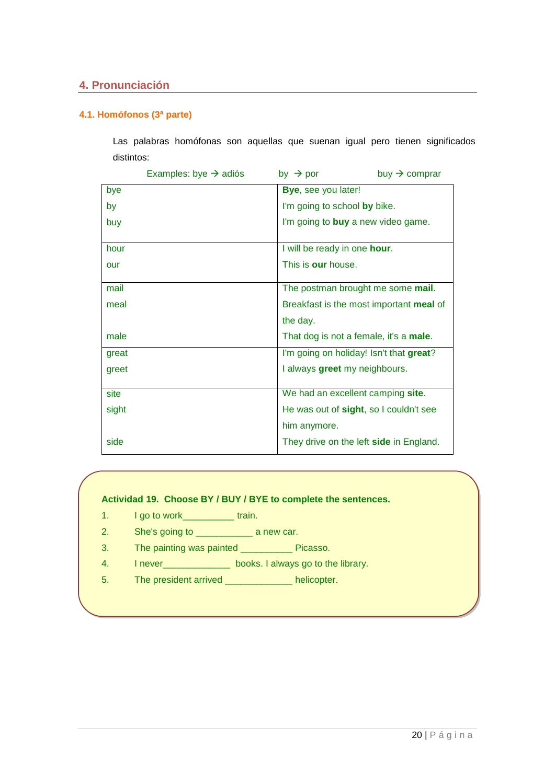# <span id="page-19-0"></span>**4. Pronunciación**

# <span id="page-19-1"></span>**4.1. Homófonos (3ª parte)**

Las palabras homófonas son aquellas que suenan igual pero tienen significados distintos:

|       | Examples: bye $\rightarrow$ adiós | buy $\rightarrow$ comprar<br>by $\rightarrow$ por |
|-------|-----------------------------------|---------------------------------------------------|
| bye   |                                   | <b>Bye, see you later!</b>                        |
| by    |                                   | I'm going to school by bike.                      |
| buy   |                                   | I'm going to <b>buy</b> a new video game.         |
|       |                                   |                                                   |
| hour  |                                   | I will be ready in one hour.                      |
| our   |                                   | This is our house.                                |
|       |                                   |                                                   |
| mail  |                                   | The postman brought me some mail.                 |
| meal  |                                   | Breakfast is the most important meal of           |
|       |                                   | the day.                                          |
| male  |                                   | That dog is not a female, it's a male.            |
| great |                                   | I'm going on holiday! Isn't that great?           |
| greet |                                   | I always greet my neighbours.                     |
|       |                                   |                                                   |
| site  |                                   | We had an excellent camping site.                 |
| sight |                                   | He was out of sight, so I couldn't see            |
|       |                                   | him anymore.                                      |
| side  |                                   | They drive on the left side in England.           |

### **Actividad 19. Choose BY / BUY / BYE to complete the sentences.**

- 1. I go to work\_\_\_\_\_\_\_\_\_\_\_\_ train.
- 2. She's going to \_\_\_\_\_\_\_\_\_\_\_\_\_\_\_\_\_ a new car.
- 3. The painting was painted \_\_\_\_\_\_\_\_\_\_ Picasso.
- 4. I never\_\_\_\_\_\_\_\_\_\_\_\_\_ books. I always go to the library.
- 5. The president arrived \_\_\_\_\_\_\_\_\_\_\_\_\_ helicopter.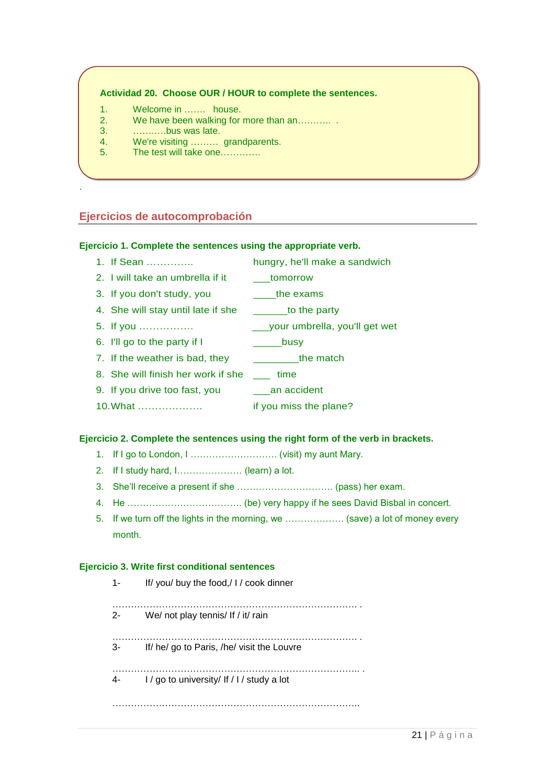# **Actividad 20. Choose OUR / HOUR to complete the sentences.**

- 1. Welcome in ……. house.
- 2. We have been walking for more than an……….. .
- 3. …….….bus was late.

.

- 4. We're visiting ……… grandparents.
- 5. The test will take one………….

# <span id="page-20-0"></span>**Ejercicios de autocomprobación**

### **Ejercicio 1. Complete the sentences using the appropriate verb.**

- 1. If Sean ………….. hungry, he'll make a sandwich
- 2. I will take an umbrella if it tomorrow
- 3. If you don't study, you \_\_\_\_the exams
- 4. She will stay until late if she \_\_\_\_\_\_to the party
- 5. If you ……………. \_\_\_your umbrella, you'll get wet
- 6. I'll go to the party if I \_\_\_\_\_\_\_\_busy
- 7. If the weather is bad, they \_\_\_\_\_\_\_\_\_\_\_the match
- 8. She will finish her work if she \_\_\_ time
- 9. If you drive too fast, you \_\_\_an accident
- 10.What ………………. if you miss the plane?

### **Ejercicio 2. Complete the sentences using the right form of the verb in brackets.**

- 1. If I go to London, I ………………………. (visit) my aunt Mary.
- 2. If I study hard, I………………… (learn) a lot.
- 3. She'll receive a present if she …………………………. (pass) her exam.
- 4. He ………………………………. (be) very happy if he sees David Bisbal in concert.
- 5. If we turn off the lights in the morning, we ………………. (save) a lot of money every month.

### **Ejercicio 3. Write first conditional sentences**

1- If/ you/ buy the food,/ I / cook dinner

……………………………………………………………………. . 2- We/ not play tennis/ If / it/ rain

……………………………………………………………………. . 3- If/ he/ go to Paris, /he/ visit the Louvre

4- I / go to university/ If / I / study a lot

 $21$  | P á g i n a